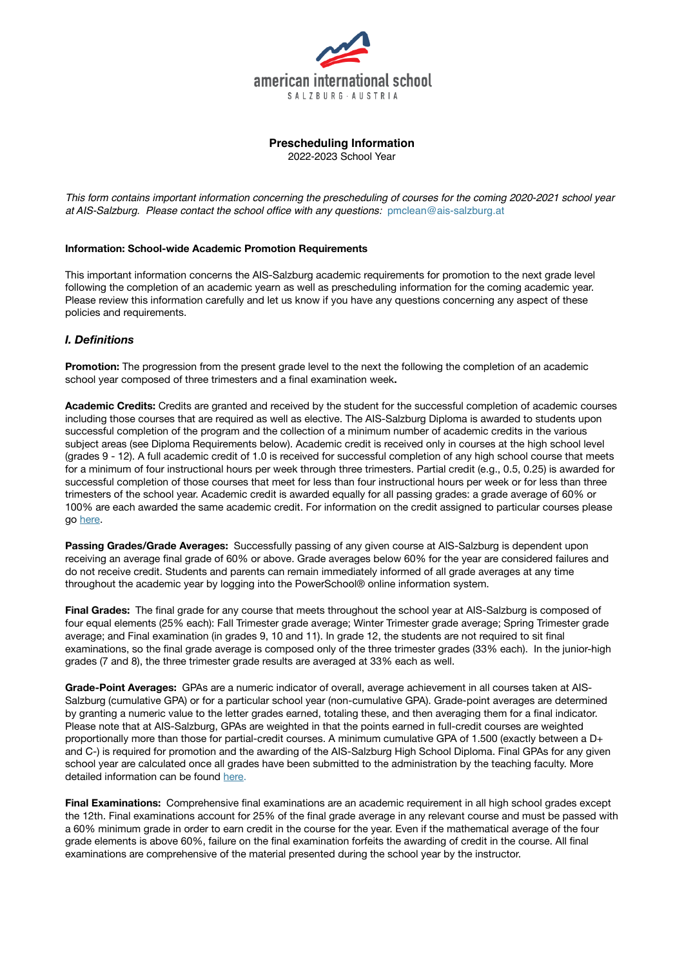

# **Prescheduling Information**

2022-2023 School Year

*This form contains important information concerning the prescheduling of courses for the coming 2020-2021 school year at AIS-Salzburg. Please contact the school office with any questions:* pmclean@ais-salzburg.at

### **Information: School-wide Academic Promotion Requirements**

This important information concerns the AIS-Salzburg academic requirements for promotion to the next grade level following the completion of an academic yearn as well as prescheduling information for the coming academic year. Please review this information carefully and let us know if you have any questions concerning any aspect of these policies and requirements.

# *I. Definitions*

**Promotion:** The progression from the present grade level to the next the following the completion of an academic school year composed of three trimesters and a final examination week**.** 

**Academic Credits:** Credits are granted and received by the student for the successful completion of academic courses including those courses that are required as well as elective. The AIS-Salzburg Diploma is awarded to students upon successful completion of the program and the collection of a minimum number of academic credits in the various subject areas (see Diploma Requirements below). Academic credit is received only in courses at the high school level (grades 9 - 12). A full academic credit of 1.0 is received for successful completion of any high school course that meets for a minimum of four instructional hours per week through three trimesters. Partial credit (e.g., 0.5, 0.25) is awarded for successful completion of those courses that meet for less than four instructional hours per week or for less than three trimesters of the school year. Academic credit is awarded equally for all passing grades: a grade average of 60% or 100% are each awarded the same academic credit. For information on the credit assigned to particular courses please go [here](https://www.ais-salzburg.at/wp-content/uploads/2021/08/AcCreditListing2021-1.pdf).

**Passing Grades/Grade Averages:** Successfully passing of any given course at AIS-Salzburg is dependent upon receiving an average final grade of 60% or above. Grade averages below 60% for the year are considered failures and do not receive credit. Students and parents can remain immediately informed of all grade averages at any time throughout the academic year by logging into the PowerSchool® online information system.

**Final Grades:** The final grade for any course that meets throughout the school year at AIS-Salzburg is composed of four equal elements (25% each): Fall Trimester grade average; Winter Trimester grade average; Spring Trimester grade average; and Final examination (in grades 9, 10 and 11). In grade 12, the students are not required to sit final examinations, so the final grade average is composed only of the three trimester grades (33% each). In the junior-high grades (7 and 8), the three trimester grade results are averaged at 33% each as well.

**Grade-Point Averages:** GPAs are a numeric indicator of overall, average achievement in all courses taken at AIS-Salzburg (cumulative GPA) or for a particular school year (non-cumulative GPA). Grade-point averages are determined by granting a numeric value to the letter grades earned, totaling these, and then averaging them for a final indicator. Please note that at AIS-Salzburg, GPAs are weighted in that the points earned in full-credit courses are weighted proportionally more than those for partial-credit courses. A minimum cumulative GPA of 1.500 (exactly between a D+ and C-) is required for promotion and the awarding of the AIS-Salzburg High School Diploma. Final GPAs for any given school year are calculated once all grades have been submitted to the administration by the teaching faculty. More detailed information can be found [here](https://www.ais-salzburg.at/wp-content/uploads/2015/02/GradePointAverageChart.pdf).

**Final Examinations:** Comprehensive final examinations are an academic requirement in all high school grades except the 12th. Final examinations account for 25% of the final grade average in any relevant course and must be passed with a 60% minimum grade in order to earn credit in the course for the year. Even if the mathematical average of the four grade elements is above 60%, failure on the final examination forfeits the awarding of credit in the course. All final examinations are comprehensive of the material presented during the school year by the instructor.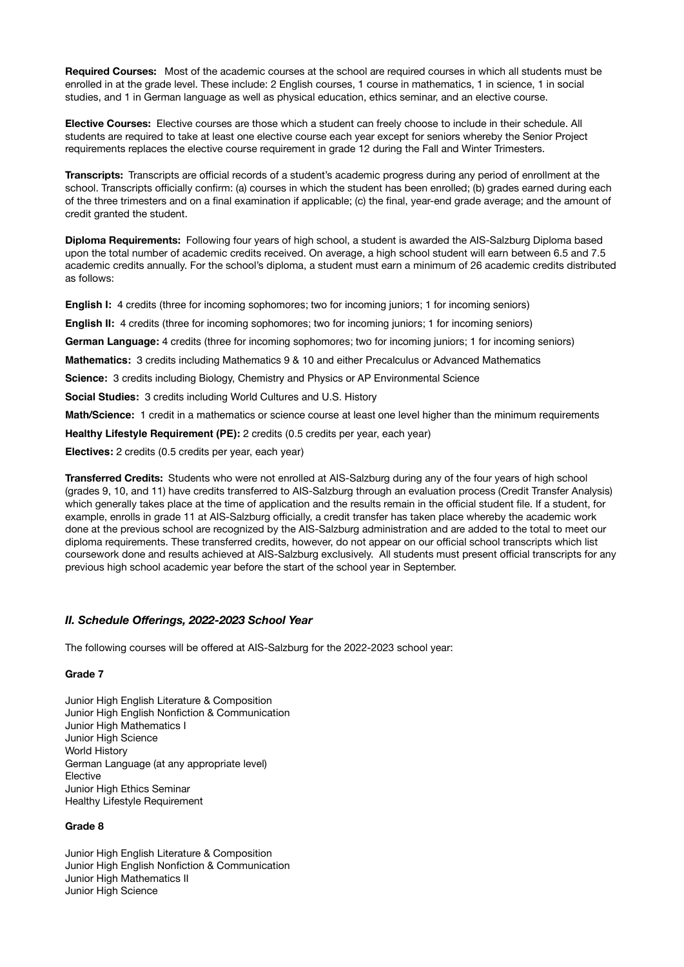**Required Courses:** Most of the academic courses at the school are required courses in which all students must be enrolled in at the grade level. These include: 2 English courses, 1 course in mathematics, 1 in science, 1 in social studies, and 1 in German language as well as physical education, ethics seminar, and an elective course.

**Elective Courses:** Elective courses are those which a student can freely choose to include in their schedule. All students are required to take at least one elective course each year except for seniors whereby the Senior Project requirements replaces the elective course requirement in grade 12 during the Fall and Winter Trimesters.

**Transcripts:** Transcripts are official records of a student's academic progress during any period of enrollment at the school. Transcripts officially confirm: (a) courses in which the student has been enrolled; (b) grades earned during each of the three trimesters and on a final examination if applicable; (c) the final, year-end grade average; and the amount of credit granted the student.

**Diploma Requirements:** Following four years of high school, a student is awarded the AIS-Salzburg Diploma based upon the total number of academic credits received. On average, a high school student will earn between 6.5 and 7.5 academic credits annually. For the school's diploma, a student must earn a minimum of 26 academic credits distributed as follows:

**English I:** 4 credits (three for incoming sophomores; two for incoming juniors; 1 for incoming seniors)

**English II:** 4 credits (three for incoming sophomores; two for incoming juniors; 1 for incoming seniors)

**German Language:** 4 credits (three for incoming sophomores; two for incoming juniors; 1 for incoming seniors)

**Mathematics:** 3 credits including Mathematics 9 & 10 and either Precalculus or Advanced Mathematics

**Science:** 3 credits including Biology, Chemistry and Physics or AP Environmental Science

**Social Studies:** 3 credits including World Cultures and U.S. History

**Math/Science:** 1 credit in a mathematics or science course at least one level higher than the minimum requirements

**Healthy Lifestyle Requirement (PE):** 2 credits (0.5 credits per year, each year)

**Electives:** 2 credits (0.5 credits per year, each year)

**Transferred Credits:** Students who were not enrolled at AIS-Salzburg during any of the four years of high school (grades 9, 10, and 11) have credits transferred to AIS-Salzburg through an evaluation process (Credit Transfer Analysis) which generally takes place at the time of application and the results remain in the official student file. If a student, for example, enrolls in grade 11 at AIS-Salzburg officially, a credit transfer has taken place whereby the academic work done at the previous school are recognized by the AIS-Salzburg administration and are added to the total to meet our diploma requirements. These transferred credits, however, do not appear on our official school transcripts which list coursework done and results achieved at AIS-Salzburg exclusively. All students must present official transcripts for any previous high school academic year before the start of the school year in September.

# *II. Schedule Offerings, 2022-2023 School Year*

The following courses will be offered at AIS-Salzburg for the 2022-2023 school year:

# **Grade 7**

Junior High English Literature & Composition Junior High English Nonfiction & Communication Junior High Mathematics I Junior High Science World History German Language (at any appropriate level) Elective Junior High Ethics Seminar Healthy Lifestyle Requirement

# **Grade 8**

Junior High English Literature & Composition Junior High English Nonfiction & Communication Junior High Mathematics II Junior High Science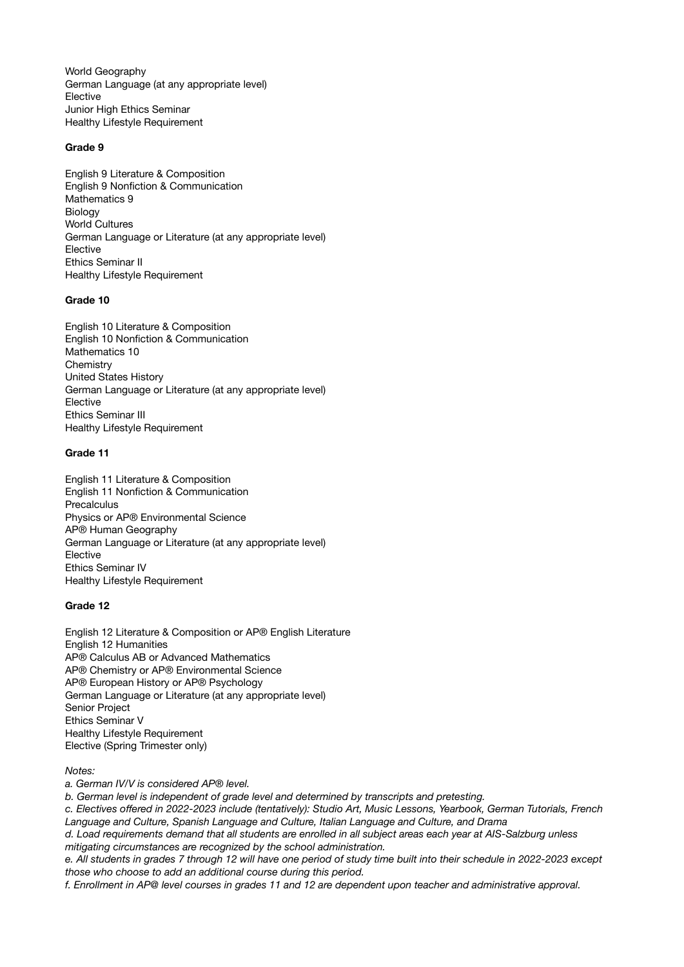World Geography German Language (at any appropriate level) Elective Junior High Ethics Seminar Healthy Lifestyle Requirement

# **Grade 9**

English 9 Literature & Composition English 9 Nonfiction & Communication Mathematics 9 Biology World Cultures German Language or Literature (at any appropriate level) Elective Ethics Seminar II Healthy Lifestyle Requirement

#### **Grade 10**

English 10 Literature & Composition English 10 Nonfiction & Communication Mathematics 10 **Chemistry** United States History German Language or Literature (at any appropriate level) Elective Ethics Seminar III Healthy Lifestyle Requirement

#### **Grade 11**

English 11 Literature & Composition English 11 Nonfiction & Communication **Precalculus** Physics or AP® Environmental Science AP® Human Geography German Language or Literature (at any appropriate level) Elective Ethics Seminar IV Healthy Lifestyle Requirement

# **Grade 12**

English 12 Literature & Composition or AP® English Literature English 12 Humanities AP® Calculus AB or Advanced Mathematics AP® Chemistry or AP® Environmental Science AP® European History or AP® Psychology German Language or Literature (at any appropriate level) Senior Project Ethics Seminar V Healthy Lifestyle Requirement Elective (Spring Trimester only)

### *Notes:*

*a. German IV/V is considered AP® level.*

*b. German level is independent of grade level and determined by transcripts and pretesting.*

*c. Electives offered in 2022-2023 include (tentatively): Studio Art, Music Lessons, Yearbook, German Tutorials, French Language and Culture, Spanish Language and Culture, Italian Language and Culture, and Drama*

*d. Load requirements demand that all students are enrolled in all subject areas each year at AIS-Salzburg unless mitigating circumstances are recognized by the school administration.*

*e. All students in grades 7 through 12 will have one period of study time built into their schedule in 2022-2023 except those who choose to add an additional course during this period.*

*f. Enrollment in AP@ level courses in grades 11 and 12 are dependent upon teacher and administrative approval.*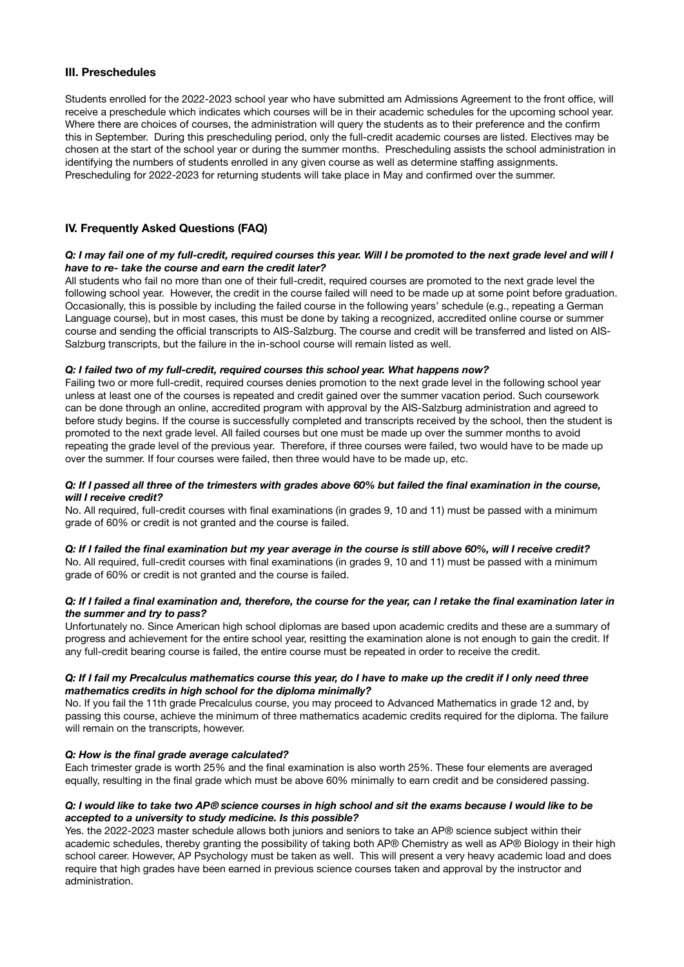# **III. Preschedules**

Students enrolled for the 2022-2023 school year who have submitted am Admissions Agreement to the front office, will receive a preschedule which indicates which courses will be in their academic schedules for the upcoming school year. Where there are choices of courses, the administration will query the students as to their preference and the confirm this in September. During this prescheduling period, only the full-credit academic courses are listed. Electives may be chosen at the start of the school year or during the summer months. Prescheduling assists the school administration in identifying the numbers of students enrolled in any given course as well as determine staffing assignments. Prescheduling for 2022-2023 for returning students will take place in May and confirmed over the summer.

# **IV. Frequently Asked Questions (FAQ)**

#### *Q: I may fail one of my full-credit, required courses this year. Will I be promoted to the next grade level and will I have to re- take the course and earn the credit later?*

All students who fail no more than one of their full-credit, required courses are promoted to the next grade level the following school year. However, the credit in the course failed will need to be made up at some point before graduation. Occasionally, this is possible by including the failed course in the following years' schedule (e.g., repeating a German Language course), but in most cases, this must be done by taking a recognized, accredited online course or summer course and sending the official transcripts to AIS-Salzburg. The course and credit will be transferred and listed on AIS-Salzburg transcripts, but the failure in the in-school course will remain listed as well.

# *Q: I failed two of my full-credit, required courses this school year. What happens now?*

Failing two or more full-credit, required courses denies promotion to the next grade level in the following school year unless at least one of the courses is repeated and credit gained over the summer vacation period. Such coursework can be done through an online, accredited program with approval by the AIS-Salzburg administration and agreed to before study begins. If the course is successfully completed and transcripts received by the school, then the student is promoted to the next grade level. All failed courses but one must be made up over the summer months to avoid repeating the grade level of the previous year. Therefore, if three courses were failed, two would have to be made up over the summer. If four courses were failed, then three would have to be made up, etc.

#### *Q: If I passed all three of the trimesters with grades above 60% but failed the final examination in the course, will I receive credit?*

No. All required, full-credit courses with final examinations (in grades 9, 10 and 11) must be passed with a minimum grade of 60% or credit is not granted and the course is failed.

#### *Q: If I failed the final examination but my year average in the course is still above 60%, will I receive credit?*  No. All required, full-credit courses with final examinations (in grades 9, 10 and 11) must be passed with a minimum grade of 60% or credit is not granted and the course is failed.

#### *Q: If I failed a final examination and, therefore, the course for the year, can I retake the final examination later in the summer and try to pass?*

Unfortunately no. Since American high school diplomas are based upon academic credits and these are a summary of progress and achievement for the entire school year, resitting the examination alone is not enough to gain the credit. If any full-credit bearing course is failed, the entire course must be repeated in order to receive the credit.

#### *Q: If I fail my Precalculus mathematics course this year, do I have to make up the credit if I only need three mathematics credits in high school for the diploma minimally?*

No. If you fail the 11th grade Precalculus course, you may proceed to Advanced Mathematics in grade 12 and, by passing this course, achieve the minimum of three mathematics academic credits required for the diploma. The failure will remain on the transcripts, however.

# *Q: How is the final grade average calculated?*

Each trimester grade is worth 25% and the final examination is also worth 25%. These four elements are averaged equally, resulting in the final grade which must be above 60% minimally to earn credit and be considered passing.

#### *Q: I would like to take two AP® science courses in high school and sit the exams because I would like to be accepted to a university to study medicine. Is this possible?*

Yes. the 2022-2023 master schedule allows both juniors and seniors to take an AP® science subject within their academic schedules, thereby granting the possibility of taking both AP® Chemistry as well as AP® Biology in their high school career. However, AP Psychology must be taken as well. This will present a very heavy academic load and does require that high grades have been earned in previous science courses taken and approval by the instructor and administration.